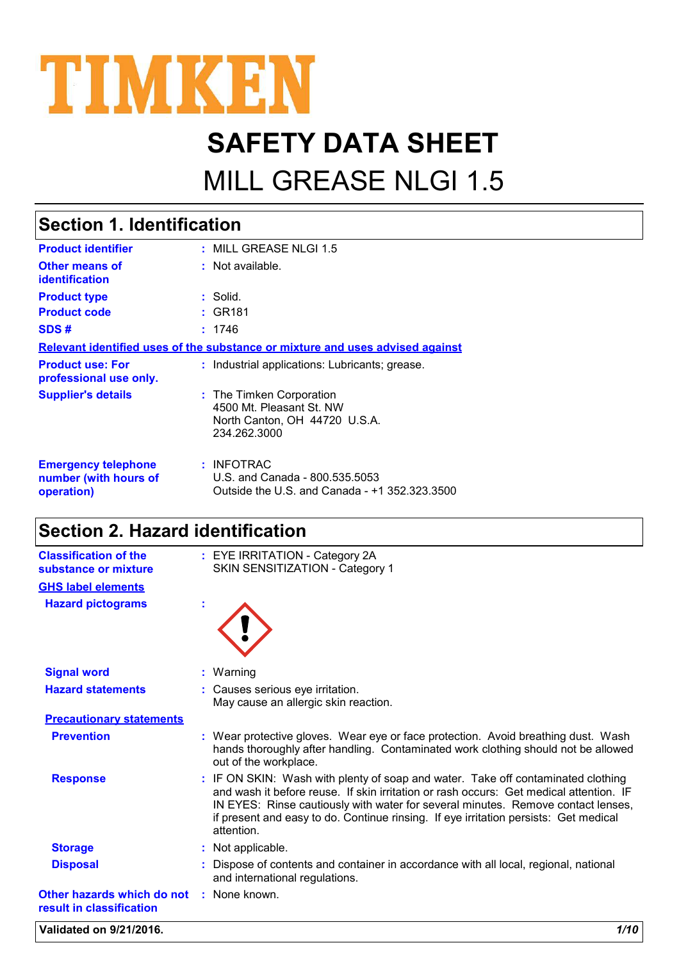

# **SAFETY DATA SHEET**

## MILL GREASE NLGI 1.5

## **Section 1. Identification**

| <b>Product identifier</b>                                         | $:$ MILL GREASE NLGI 1.5                                                                              |
|-------------------------------------------------------------------|-------------------------------------------------------------------------------------------------------|
| <b>Other means of</b><br>identification                           | $:$ Not available.                                                                                    |
| <b>Product type</b>                                               | : Solid.                                                                                              |
| <b>Product code</b>                                               | : GR181                                                                                               |
| SDS#                                                              | : 1746                                                                                                |
|                                                                   | Relevant identified uses of the substance or mixture and uses advised against                         |
| <b>Product use: For</b><br>professional use only.                 | : Industrial applications: Lubricants; grease.                                                        |
| <b>Supplier's details</b>                                         | : The Timken Corporation<br>4500 Mt. Pleasant St. NW<br>North Canton, OH 44720 U.S.A.<br>234.262.3000 |
| <b>Emergency telephone</b><br>number (with hours of<br>operation) | : INFOTRAC<br>U.S. and Canada - 800.535.5053<br>Outside the U.S. and Canada - +1 352.323.3500         |

## **Section 2. Hazard identification**

| <b>Classification of the</b><br>substance or mixture                 | : EYE IRRITATION - Category 2A<br>SKIN SENSITIZATION - Category 1                                                                                                                                                                                                                                                                                                    |  |
|----------------------------------------------------------------------|----------------------------------------------------------------------------------------------------------------------------------------------------------------------------------------------------------------------------------------------------------------------------------------------------------------------------------------------------------------------|--|
| <b>GHS label elements</b>                                            |                                                                                                                                                                                                                                                                                                                                                                      |  |
| <b>Hazard pictograms</b>                                             |                                                                                                                                                                                                                                                                                                                                                                      |  |
| <b>Signal word</b>                                                   | $:$ Warning                                                                                                                                                                                                                                                                                                                                                          |  |
| <b>Hazard statements</b>                                             | : Causes serious eye irritation.<br>May cause an allergic skin reaction.                                                                                                                                                                                                                                                                                             |  |
| <b>Precautionary statements</b>                                      |                                                                                                                                                                                                                                                                                                                                                                      |  |
| <b>Prevention</b>                                                    | : Wear protective gloves. Wear eye or face protection. Avoid breathing dust. Wash<br>hands thoroughly after handling. Contaminated work clothing should not be allowed<br>out of the workplace.                                                                                                                                                                      |  |
| <b>Response</b>                                                      | : IF ON SKIN: Wash with plenty of soap and water. Take off contaminated clothing<br>and wash it before reuse. If skin irritation or rash occurs: Get medical attention. IF<br>IN EYES: Rinse cautiously with water for several minutes. Remove contact lenses,<br>if present and easy to do. Continue rinsing. If eye irritation persists: Get medical<br>attention. |  |
| <b>Storage</b>                                                       | : Not applicable.                                                                                                                                                                                                                                                                                                                                                    |  |
| <b>Disposal</b>                                                      | : Dispose of contents and container in accordance with all local, regional, national<br>and international regulations.                                                                                                                                                                                                                                               |  |
| Other hazards which do not : None known.<br>result in classification |                                                                                                                                                                                                                                                                                                                                                                      |  |

**Validated on 9/21/2016.** *1/10*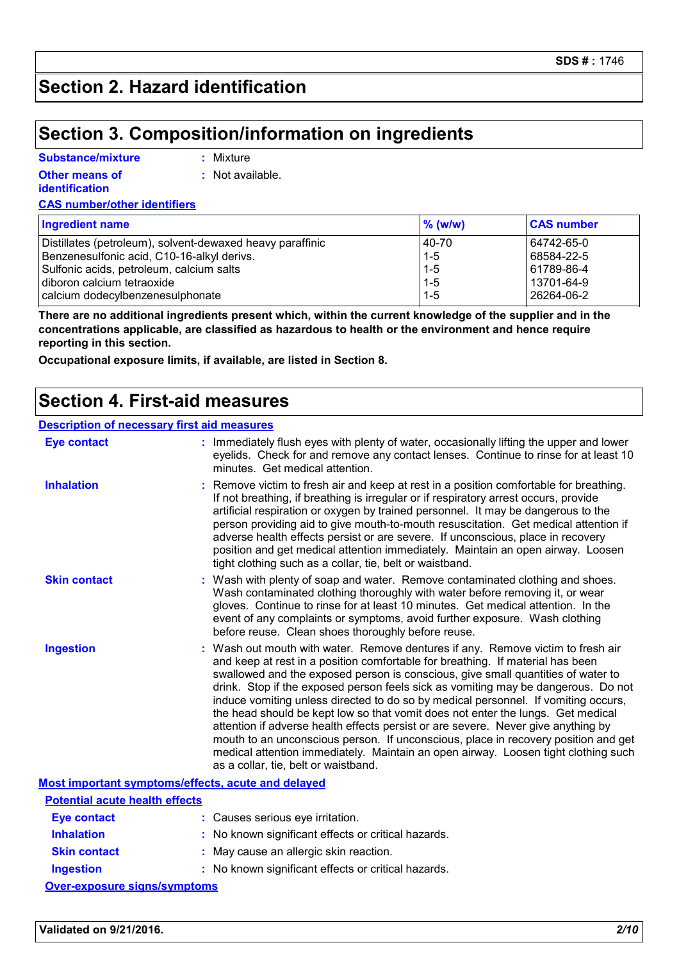## **Section 2. Hazard identification**

### **Section 3. Composition/information on ingredients**

### **Substance/mixture**

**:** Mixture

**Other means of identification**

**:** Not available.

**CAS number/other identifiers**

| <b>Ingredient name</b>                                    | $\%$ (w/w) | <b>CAS number</b> |
|-----------------------------------------------------------|------------|-------------------|
| Distillates (petroleum), solvent-dewaxed heavy paraffinic | 40-70      | 64742-65-0        |
| Benzenesulfonic acid, C10-16-alkyl derivs.                | $1 - 5$    | 68584-22-5        |
| Sulfonic acids, petroleum, calcium salts                  | $1 - 5$    | 61789-86-4        |
| diboron calcium tetraoxide                                | $1 - 5$    | 13701-64-9        |
| calcium dodecylbenzenesulphonate                          | $1 - 5$    | 26264-06-2        |

**There are no additional ingredients present which, within the current knowledge of the supplier and in the concentrations applicable, are classified as hazardous to health or the environment and hence require reporting in this section.**

**Occupational exposure limits, if available, are listed in Section 8.**

### **Section 4. First-aid measures**

#### **Description of necessary first aid measures**

| <b>Eye contact</b>                                 | : Immediately flush eyes with plenty of water, occasionally lifting the upper and lower<br>eyelids. Check for and remove any contact lenses. Continue to rinse for at least 10<br>minutes. Get medical attention.                                                                                                                                                                                                                                                                                                                                                                                                                                                                                                                                                                                                            |
|----------------------------------------------------|------------------------------------------------------------------------------------------------------------------------------------------------------------------------------------------------------------------------------------------------------------------------------------------------------------------------------------------------------------------------------------------------------------------------------------------------------------------------------------------------------------------------------------------------------------------------------------------------------------------------------------------------------------------------------------------------------------------------------------------------------------------------------------------------------------------------------|
| <b>Inhalation</b>                                  | Remove victim to fresh air and keep at rest in a position comfortable for breathing.<br>If not breathing, if breathing is irregular or if respiratory arrest occurs, provide<br>artificial respiration or oxygen by trained personnel. It may be dangerous to the<br>person providing aid to give mouth-to-mouth resuscitation. Get medical attention if<br>adverse health effects persist or are severe. If unconscious, place in recovery<br>position and get medical attention immediately. Maintain an open airway. Loosen<br>tight clothing such as a collar, tie, belt or waistband.                                                                                                                                                                                                                                   |
| <b>Skin contact</b>                                | : Wash with plenty of soap and water. Remove contaminated clothing and shoes.<br>Wash contaminated clothing thoroughly with water before removing it, or wear<br>gloves. Continue to rinse for at least 10 minutes. Get medical attention. In the<br>event of any complaints or symptoms, avoid further exposure. Wash clothing<br>before reuse. Clean shoes thoroughly before reuse.                                                                                                                                                                                                                                                                                                                                                                                                                                        |
| <b>Ingestion</b>                                   | : Wash out mouth with water. Remove dentures if any. Remove victim to fresh air<br>and keep at rest in a position comfortable for breathing. If material has been<br>swallowed and the exposed person is conscious, give small quantities of water to<br>drink. Stop if the exposed person feels sick as vomiting may be dangerous. Do not<br>induce vomiting unless directed to do so by medical personnel. If vomiting occurs,<br>the head should be kept low so that vomit does not enter the lungs. Get medical<br>attention if adverse health effects persist or are severe. Never give anything by<br>mouth to an unconscious person. If unconscious, place in recovery position and get<br>medical attention immediately. Maintain an open airway. Loosen tight clothing such<br>as a collar, tie, belt or waistband. |
| Most important symptoms/effects, acute and delayed |                                                                                                                                                                                                                                                                                                                                                                                                                                                                                                                                                                                                                                                                                                                                                                                                                              |
| <b>Potential acute health effects</b>              |                                                                                                                                                                                                                                                                                                                                                                                                                                                                                                                                                                                                                                                                                                                                                                                                                              |
| <b>Eye contact</b>                                 | : Causes serious eye irritation.                                                                                                                                                                                                                                                                                                                                                                                                                                                                                                                                                                                                                                                                                                                                                                                             |
| <b>Inhalation</b>                                  | : No known significant effects or critical hazards.                                                                                                                                                                                                                                                                                                                                                                                                                                                                                                                                                                                                                                                                                                                                                                          |
| <b>Skin contact</b>                                | May cause an allergic skin reaction.                                                                                                                                                                                                                                                                                                                                                                                                                                                                                                                                                                                                                                                                                                                                                                                         |
| <b>Ingestion</b>                                   | : No known significant effects or critical hazards.                                                                                                                                                                                                                                                                                                                                                                                                                                                                                                                                                                                                                                                                                                                                                                          |

**Over-exposure signs/symptoms**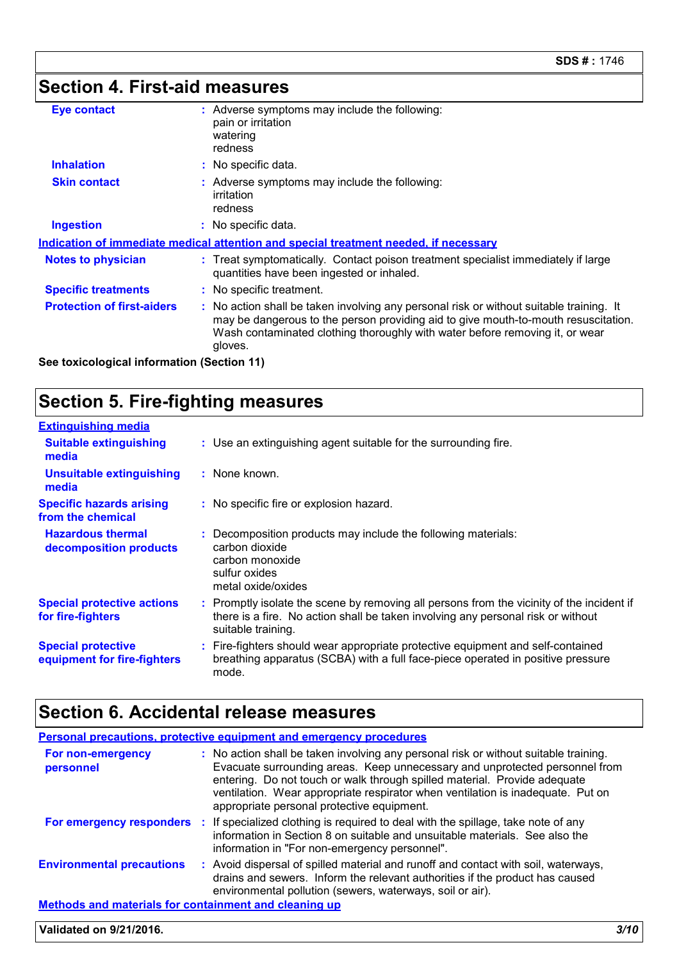## **Section 4. First-aid measures**

| : Adverse symptoms may include the following:<br>pain or irritation<br>watering<br>redness<br>: No specific data.<br>: Adverse symptoms may include the following:<br>irritation<br>redness                                                                              |
|--------------------------------------------------------------------------------------------------------------------------------------------------------------------------------------------------------------------------------------------------------------------------|
|                                                                                                                                                                                                                                                                          |
|                                                                                                                                                                                                                                                                          |
|                                                                                                                                                                                                                                                                          |
| : No specific data.                                                                                                                                                                                                                                                      |
| Indication of immediate medical attention and special treatment needed, if necessary                                                                                                                                                                                     |
| : Treat symptomatically. Contact poison treatment specialist immediately if large<br>quantities have been ingested or inhaled.                                                                                                                                           |
| : No specific treatment.                                                                                                                                                                                                                                                 |
| : No action shall be taken involving any personal risk or without suitable training. It<br>may be dangerous to the person providing aid to give mouth-to-mouth resuscitation.<br>Wash contaminated clothing thoroughly with water before removing it, or wear<br>gloves. |
|                                                                                                                                                                                                                                                                          |

**See toxicological information (Section 11)**

## **Section 5. Fire-fighting measures**

| <b>Extinguishing media</b>                               |                                                                                                                                                                                                     |
|----------------------------------------------------------|-----------------------------------------------------------------------------------------------------------------------------------------------------------------------------------------------------|
| <b>Suitable extinguishing</b><br>media                   | : Use an extinguishing agent suitable for the surrounding fire.                                                                                                                                     |
| <b>Unsuitable extinguishing</b><br>media                 | : None known.                                                                                                                                                                                       |
| <b>Specific hazards arising</b><br>from the chemical     | : No specific fire or explosion hazard.                                                                                                                                                             |
| <b>Hazardous thermal</b><br>decomposition products       | : Decomposition products may include the following materials:<br>carbon dioxide<br>carbon monoxide<br>sulfur oxides<br>metal oxide/oxides                                                           |
| <b>Special protective actions</b><br>for fire-fighters   | : Promptly isolate the scene by removing all persons from the vicinity of the incident if<br>there is a fire. No action shall be taken involving any personal risk or without<br>suitable training. |
| <b>Special protective</b><br>equipment for fire-fighters | : Fire-fighters should wear appropriate protective equipment and self-contained<br>breathing apparatus (SCBA) with a full face-piece operated in positive pressure<br>mode.                         |

## **Section 6. Accidental release measures**

|                                                              | Personal precautions, protective equipment and emergency procedures                                                                                                                                                                                                                                                                                                               |  |
|--------------------------------------------------------------|-----------------------------------------------------------------------------------------------------------------------------------------------------------------------------------------------------------------------------------------------------------------------------------------------------------------------------------------------------------------------------------|--|
| For non-emergency<br>personnel                               | : No action shall be taken involving any personal risk or without suitable training.<br>Evacuate surrounding areas. Keep unnecessary and unprotected personnel from<br>entering. Do not touch or walk through spilled material. Provide adequate<br>ventilation. Wear appropriate respirator when ventilation is inadequate. Put on<br>appropriate personal protective equipment. |  |
|                                                              | For emergency responders : If specialized clothing is required to deal with the spillage, take note of any<br>information in Section 8 on suitable and unsuitable materials. See also the<br>information in "For non-emergency personnel".                                                                                                                                        |  |
| <b>Environmental precautions</b>                             | : Avoid dispersal of spilled material and runoff and contact with soil, waterways,<br>drains and sewers. Inform the relevant authorities if the product has caused<br>environmental pollution (sewers, waterways, soil or air).                                                                                                                                                   |  |
| <b>Methods and materials for containment and cleaning up</b> |                                                                                                                                                                                                                                                                                                                                                                                   |  |
| Validated on 9/21/2016.                                      |                                                                                                                                                                                                                                                                                                                                                                                   |  |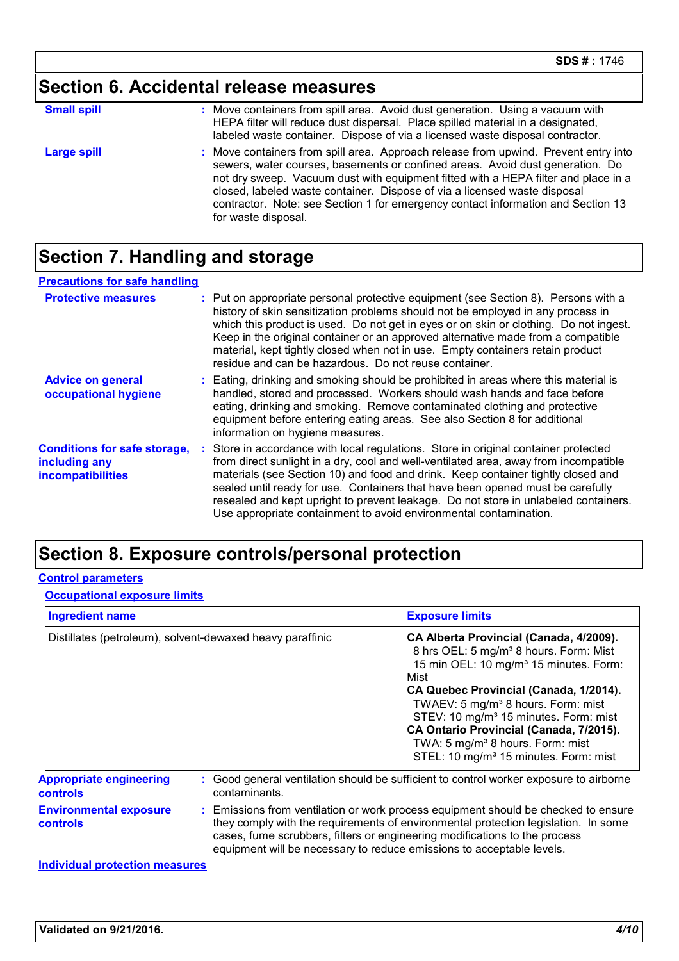## **Section 6. Accidental release measures**

| <b>Small spill</b> | : Move containers from spill area. Avoid dust generation. Using a vacuum with<br>HEPA filter will reduce dust dispersal. Place spilled material in a designated,<br>labeled waste container. Dispose of via a licensed waste disposal contractor.                                                                                                                                                                                                  |
|--------------------|----------------------------------------------------------------------------------------------------------------------------------------------------------------------------------------------------------------------------------------------------------------------------------------------------------------------------------------------------------------------------------------------------------------------------------------------------|
| <b>Large spill</b> | : Move containers from spill area. Approach release from upwind. Prevent entry into<br>sewers, water courses, basements or confined areas. Avoid dust generation. Do<br>not dry sweep. Vacuum dust with equipment fitted with a HEPA filter and place in a<br>closed, labeled waste container. Dispose of via a licensed waste disposal<br>contractor. Note: see Section 1 for emergency contact information and Section 13<br>for waste disposal. |

## **Section 7. Handling and storage**

| <b>Precautions for safe handling</b>                                      |                                                                                                                                                                                                                                                                                                                                                                                                                                                                                                               |
|---------------------------------------------------------------------------|---------------------------------------------------------------------------------------------------------------------------------------------------------------------------------------------------------------------------------------------------------------------------------------------------------------------------------------------------------------------------------------------------------------------------------------------------------------------------------------------------------------|
| <b>Protective measures</b>                                                | : Put on appropriate personal protective equipment (see Section 8). Persons with a<br>history of skin sensitization problems should not be employed in any process in<br>which this product is used. Do not get in eyes or on skin or clothing. Do not ingest.<br>Keep in the original container or an approved alternative made from a compatible<br>material, kept tightly closed when not in use. Empty containers retain product<br>residue and can be hazardous. Do not reuse container.                 |
| <b>Advice on general</b><br>occupational hygiene                          | : Eating, drinking and smoking should be prohibited in areas where this material is<br>handled, stored and processed. Workers should wash hands and face before<br>eating, drinking and smoking. Remove contaminated clothing and protective<br>equipment before entering eating areas. See also Section 8 for additional<br>information on hygiene measures.                                                                                                                                                 |
| <b>Conditions for safe storage,</b><br>including any<br>incompatibilities | : Store in accordance with local regulations. Store in original container protected<br>from direct sunlight in a dry, cool and well-ventilated area, away from incompatible<br>materials (see Section 10) and food and drink. Keep container tightly closed and<br>sealed until ready for use. Containers that have been opened must be carefully<br>resealed and kept upright to prevent leakage. Do not store in unlabeled containers.<br>Use appropriate containment to avoid environmental contamination. |

### **Section 8. Exposure controls/personal protection**

### **Control parameters**

### **Occupational exposure limits**

| <b>Ingredient name</b>                            |                                                           | <b>Exposure limits</b>                                                                                                                                                                                                                                                                                                                                                                                                                                       |  |
|---------------------------------------------------|-----------------------------------------------------------|--------------------------------------------------------------------------------------------------------------------------------------------------------------------------------------------------------------------------------------------------------------------------------------------------------------------------------------------------------------------------------------------------------------------------------------------------------------|--|
|                                                   | Distillates (petroleum), solvent-dewaxed heavy paraffinic | CA Alberta Provincial (Canada, 4/2009).<br>8 hrs OEL: 5 mg/m <sup>3</sup> 8 hours. Form: Mist<br>15 min OEL: 10 mg/m <sup>3</sup> 15 minutes. Form:<br>Mist<br>CA Quebec Provincial (Canada, 1/2014).<br>TWAEV: 5 mg/m <sup>3</sup> 8 hours. Form: mist<br>STEV: 10 mg/m <sup>3</sup> 15 minutes. Form: mist<br>CA Ontario Provincial (Canada, 7/2015).<br>TWA: 5 mg/m <sup>3</sup> 8 hours. Form: mist<br>STEL: 10 mg/m <sup>3</sup> 15 minutes. Form: mist |  |
| <b>Appropriate engineering</b><br><b>controls</b> | contaminants.                                             | : Good general ventilation should be sufficient to control worker exposure to airborne                                                                                                                                                                                                                                                                                                                                                                       |  |
| <b>Environmental exposure</b><br><b>controls</b>  |                                                           | : Emissions from ventilation or work process equipment should be checked to ensure<br>they comply with the requirements of environmental protection legislation. In some<br>cases, fume scrubbers, filters or engineering modifications to the process<br>equipment will be necessary to reduce emissions to acceptable levels.                                                                                                                              |  |

#### **Individual protection measures**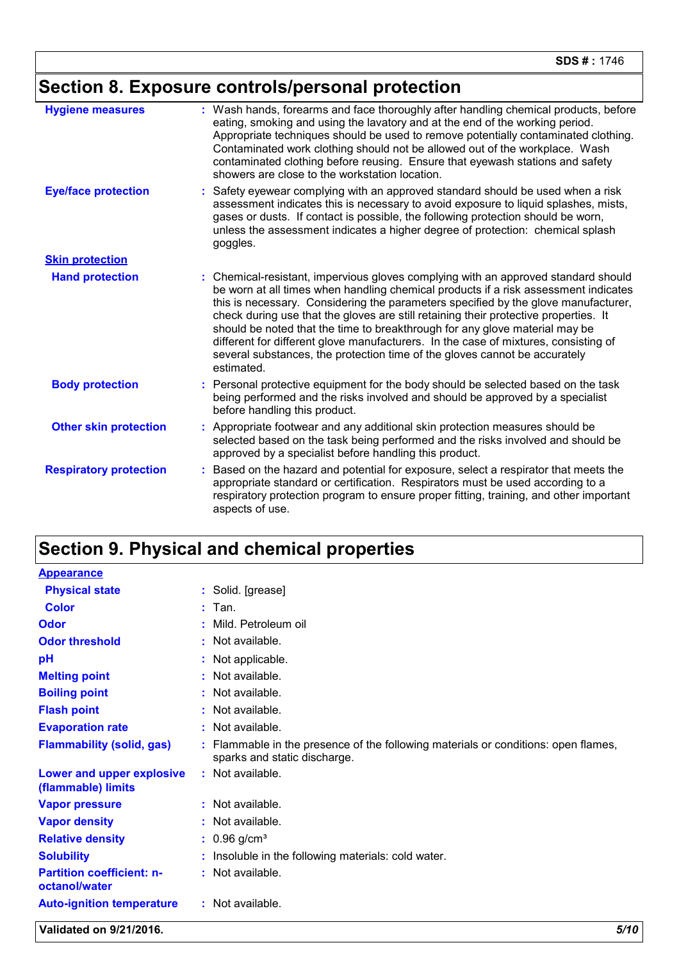## **Section 8. Exposure controls/personal protection**

| <b>Hygiene measures</b>       | Wash hands, forearms and face thoroughly after handling chemical products, before<br>eating, smoking and using the lavatory and at the end of the working period.<br>Appropriate techniques should be used to remove potentially contaminated clothing.<br>Contaminated work clothing should not be allowed out of the workplace. Wash<br>contaminated clothing before reusing. Ensure that eyewash stations and safety<br>showers are close to the workstation location.                                                                                                                                                     |
|-------------------------------|-------------------------------------------------------------------------------------------------------------------------------------------------------------------------------------------------------------------------------------------------------------------------------------------------------------------------------------------------------------------------------------------------------------------------------------------------------------------------------------------------------------------------------------------------------------------------------------------------------------------------------|
| <b>Eye/face protection</b>    | Safety eyewear complying with an approved standard should be used when a risk<br>assessment indicates this is necessary to avoid exposure to liquid splashes, mists,<br>gases or dusts. If contact is possible, the following protection should be worn,<br>unless the assessment indicates a higher degree of protection: chemical splash<br>goggles.                                                                                                                                                                                                                                                                        |
| <b>Skin protection</b>        |                                                                                                                                                                                                                                                                                                                                                                                                                                                                                                                                                                                                                               |
| <b>Hand protection</b>        | Chemical-resistant, impervious gloves complying with an approved standard should<br>÷.<br>be worn at all times when handling chemical products if a risk assessment indicates<br>this is necessary. Considering the parameters specified by the glove manufacturer,<br>check during use that the gloves are still retaining their protective properties. It<br>should be noted that the time to breakthrough for any glove material may be<br>different for different glove manufacturers. In the case of mixtures, consisting of<br>several substances, the protection time of the gloves cannot be accurately<br>estimated. |
| <b>Body protection</b>        | Personal protective equipment for the body should be selected based on the task<br>being performed and the risks involved and should be approved by a specialist<br>before handling this product.                                                                                                                                                                                                                                                                                                                                                                                                                             |
| <b>Other skin protection</b>  | Appropriate footwear and any additional skin protection measures should be<br>selected based on the task being performed and the risks involved and should be<br>approved by a specialist before handling this product.                                                                                                                                                                                                                                                                                                                                                                                                       |
| <b>Respiratory protection</b> | Based on the hazard and potential for exposure, select a respirator that meets the<br>appropriate standard or certification. Respirators must be used according to a<br>respiratory protection program to ensure proper fitting, training, and other important<br>aspects of use.                                                                                                                                                                                                                                                                                                                                             |

## **Section 9. Physical and chemical properties**

| <b>Appearance</b>                                 |                                                                                                                  |
|---------------------------------------------------|------------------------------------------------------------------------------------------------------------------|
| <b>Physical state</b>                             | : Solid. [grease]                                                                                                |
| <b>Color</b>                                      | $:$ Tan.                                                                                                         |
| Odor                                              | : Mild. Petroleum oil                                                                                            |
| <b>Odor threshold</b>                             | : Not available.                                                                                                 |
| рH                                                | : Not applicable.                                                                                                |
| <b>Melting point</b>                              | : Not available.                                                                                                 |
| <b>Boiling point</b>                              | : Not available.                                                                                                 |
| <b>Flash point</b>                                | : Not available.                                                                                                 |
| <b>Evaporation rate</b>                           | : Not available.                                                                                                 |
| <b>Flammability (solid, gas)</b>                  | Flammable in the presence of the following materials or conditions: open flames,<br>sparks and static discharge. |
| Lower and upper explosive<br>(flammable) limits   | : Not available.                                                                                                 |
| <b>Vapor pressure</b>                             | : Not available.                                                                                                 |
| <b>Vapor density</b>                              | : Not available.                                                                                                 |
| <b>Relative density</b>                           | $: 0.96$ g/cm <sup>3</sup>                                                                                       |
| <b>Solubility</b>                                 | : Insoluble in the following materials: cold water.                                                              |
| <b>Partition coefficient: n-</b><br>octanol/water | : Not available.                                                                                                 |
| <b>Auto-ignition temperature</b>                  | : Not available.                                                                                                 |

**Validated on 9/21/2016.** *5/10*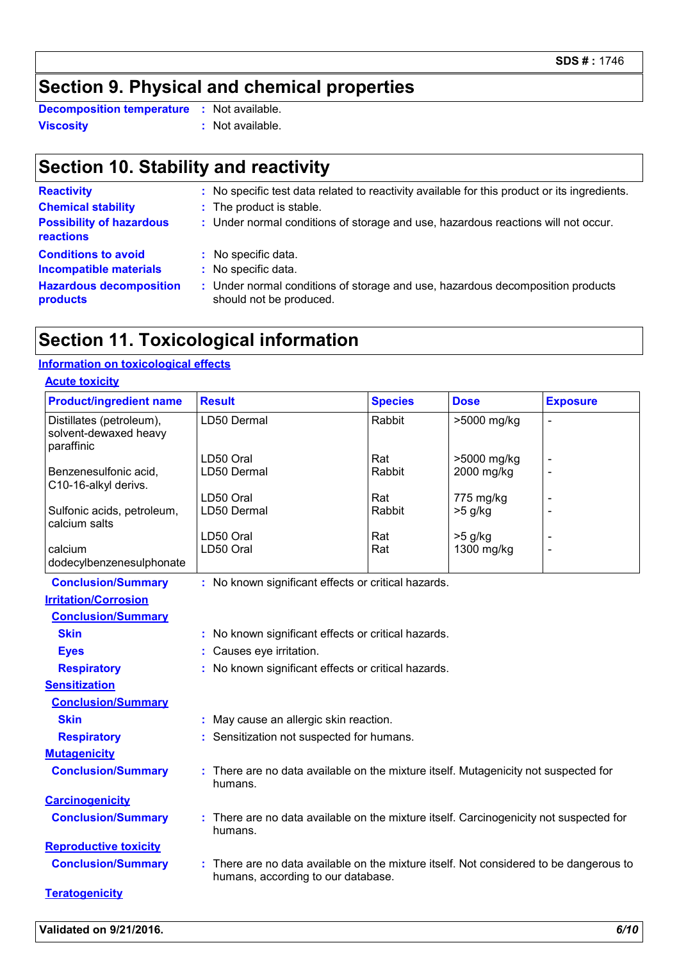## **Section 9. Physical and chemical properties**

**Viscosity :** Not available. **Decomposition temperature :** Not available.

## **Section 10. Stability and reactivity**

| <b>Reactivity</b>                                           | : No specific test data related to reactivity available for this product or its ingredients.              |
|-------------------------------------------------------------|-----------------------------------------------------------------------------------------------------------|
| <b>Chemical stability</b>                                   | : The product is stable.                                                                                  |
| <b>Possibility of hazardous</b><br>reactions                | : Under normal conditions of storage and use, hazardous reactions will not occur.                         |
| <b>Conditions to avoid</b><br><b>Incompatible materials</b> | : No specific data.<br>: No specific data.                                                                |
| <b>Hazardous decomposition</b><br>products                  | : Under normal conditions of storage and use, hazardous decomposition products<br>should not be produced. |
|                                                             |                                                                                                           |

### **Section 11. Toxicological information**

### **Information on toxicological effects**

| <b>Acute toxicity</b>                                           |                                                     |                |             |                 |
|-----------------------------------------------------------------|-----------------------------------------------------|----------------|-------------|-----------------|
| <b>Product/ingredient name</b>                                  | <b>Result</b>                                       | <b>Species</b> | <b>Dose</b> | <b>Exposure</b> |
| Distillates (petroleum),<br>solvent-dewaxed heavy<br>paraffinic | LD50 Dermal                                         | Rabbit         | >5000 mg/kg |                 |
|                                                                 | _D50 Oral                                           | Rat            | >5000 mg/kg |                 |
| Benzenesulfonic acid,<br>C10-16-alkyl derivs.                   | LD50 Dermal                                         | Rabbit         | 2000 mg/kg  |                 |
|                                                                 | LD50 Oral                                           | Rat            | 775 mg/kg   |                 |
| Sulfonic acids, petroleum,<br>calcium salts                     | LD50 Dermal                                         | Rabbit         | $>5$ g/kg   |                 |
|                                                                 | D50 Oral                                            | Rat            | $>5$ g/kg   |                 |
| calcium<br>dodecylbenzenesulphonate                             | LD50 Oral                                           | Rat            | 1300 mg/kg  |                 |
| <b>Conclusion/Summary</b>                                       | : No known significant effects or critical hazards. |                |             |                 |
| <b>Irritation/Corrosion</b>                                     |                                                     |                |             |                 |
| <b>Conclusion/Summary</b>                                       |                                                     |                |             |                 |
| <b>Skin</b>                                                     | : No known significant effects or critical hazards. |                |             |                 |
| <b>Eyes</b>                                                     | : Causes eye irritation.                            |                |             |                 |
| <b>Respiratory</b>                                              | : No known significant effects or critical hazards. |                |             |                 |

**Sensitization**

| <b>Conclusion/Summary</b> |
|---------------------------|
|---------------------------|

humans.

humans, according to our database.

- **Skin :** May cause an allergic skin reaction. **Respiratory :** Sensitization not suspected for humans.
- **Mutagenicity**
- **Conclusion/Summary :** There are no data available on the mixture itself. Mutagenicity not suspected for
- **Carcinogenicity Conclusion/Summary :** There are no data available on the mixture itself. Carcinogenicity not suspected for
- humans. **Reproductive toxicity**
- **Conclusion/Summary :** There are no data available on the mixture itself. Not considered to be dangerous to
- **Teratogenicity**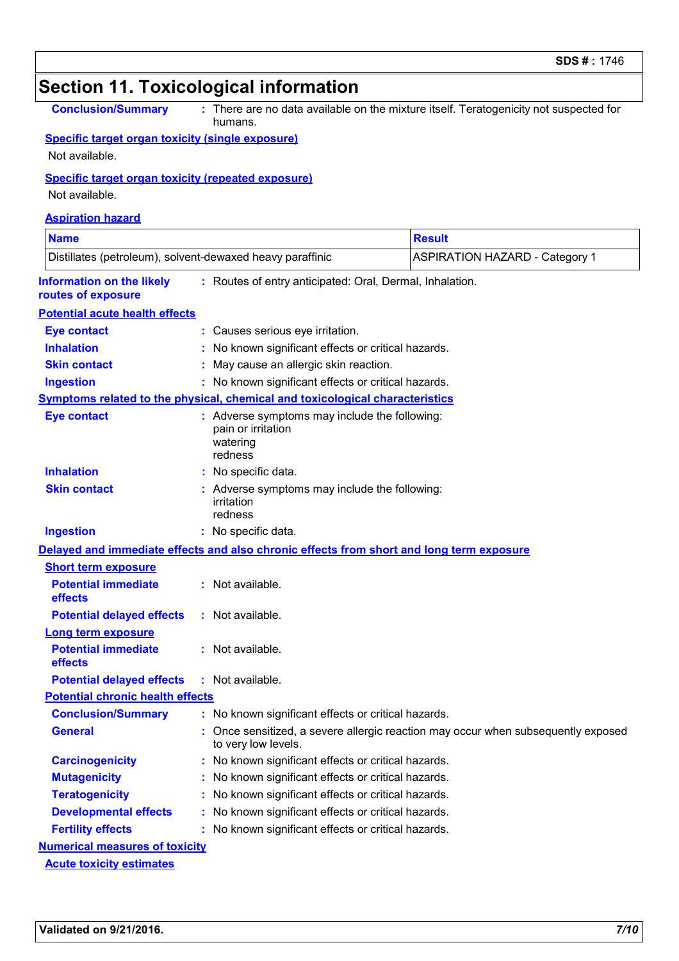|                                                                             |    | <b>Section 11. Toxicological information</b>                                               |                                                                                       |
|-----------------------------------------------------------------------------|----|--------------------------------------------------------------------------------------------|---------------------------------------------------------------------------------------|
| <b>Conclusion/Summary</b>                                                   |    | humans.                                                                                    | : There are no data available on the mixture itself. Teratogenicity not suspected for |
| <b>Specific target organ toxicity (single exposure)</b><br>Not available.   |    |                                                                                            |                                                                                       |
| <b>Specific target organ toxicity (repeated exposure)</b><br>Not available. |    |                                                                                            |                                                                                       |
| <b>Aspiration hazard</b>                                                    |    |                                                                                            |                                                                                       |
| <b>Name</b>                                                                 |    |                                                                                            | <b>Result</b>                                                                         |
| Distillates (petroleum), solvent-dewaxed heavy paraffinic                   |    |                                                                                            | <b>ASPIRATION HAZARD - Category 1</b>                                                 |
| <b>Information on the likely</b><br>routes of exposure                      |    | : Routes of entry anticipated: Oral, Dermal, Inhalation.                                   |                                                                                       |
| <b>Potential acute health effects</b>                                       |    |                                                                                            |                                                                                       |
| <b>Eye contact</b>                                                          |    | Causes serious eye irritation.                                                             |                                                                                       |
| <b>Inhalation</b>                                                           |    | No known significant effects or critical hazards.                                          |                                                                                       |
| <b>Skin contact</b>                                                         |    | May cause an allergic skin reaction.                                                       |                                                                                       |
| <b>Ingestion</b>                                                            |    | : No known significant effects or critical hazards.                                        |                                                                                       |
|                                                                             |    | Symptoms related to the physical, chemical and toxicological characteristics               |                                                                                       |
| <b>Eye contact</b>                                                          |    | : Adverse symptoms may include the following:<br>pain or irritation<br>watering<br>redness |                                                                                       |
| <b>Inhalation</b>                                                           |    | : No specific data.                                                                        |                                                                                       |
| <b>Skin contact</b>                                                         |    | Adverse symptoms may include the following:<br>irritation<br>redness                       |                                                                                       |
| <b>Ingestion</b>                                                            |    | : No specific data.                                                                        |                                                                                       |
|                                                                             |    | Delayed and immediate effects and also chronic effects from short and long term exposure   |                                                                                       |
| <b>Short term exposure</b>                                                  |    |                                                                                            |                                                                                       |
| <b>Potential immediate</b><br>effects                                       |    | Not available.                                                                             |                                                                                       |
| <b>Potential delayed effects</b>                                            |    | : Not available.                                                                           |                                                                                       |
| <b>Long term exposure</b>                                                   |    |                                                                                            |                                                                                       |
| <b>Potential immediate</b><br>effects                                       |    | : Not available.                                                                           |                                                                                       |
| <b>Potential delayed effects</b>                                            |    | $:$ Not available.                                                                         |                                                                                       |
| <b>Potential chronic health effects</b>                                     |    |                                                                                            |                                                                                       |
| <b>Conclusion/Summary</b>                                                   |    | : No known significant effects or critical hazards.                                        |                                                                                       |
| <b>General</b>                                                              |    | to very low levels.                                                                        | Once sensitized, a severe allergic reaction may occur when subsequently exposed       |
| <b>Carcinogenicity</b>                                                      |    | : No known significant effects or critical hazards.                                        |                                                                                       |
| <b>Mutagenicity</b>                                                         | ÷. | No known significant effects or critical hazards.                                          |                                                                                       |
| <b>Teratogenicity</b>                                                       |    | No known significant effects or critical hazards.                                          |                                                                                       |
| <b>Developmental effects</b>                                                |    | No known significant effects or critical hazards.                                          |                                                                                       |
| <b>Fertility effects</b>                                                    |    | : No known significant effects or critical hazards.                                        |                                                                                       |
| <b>Numerical measures of toxicity</b>                                       |    |                                                                                            |                                                                                       |
| <b>Acute toxicity estimates</b>                                             |    |                                                                                            |                                                                                       |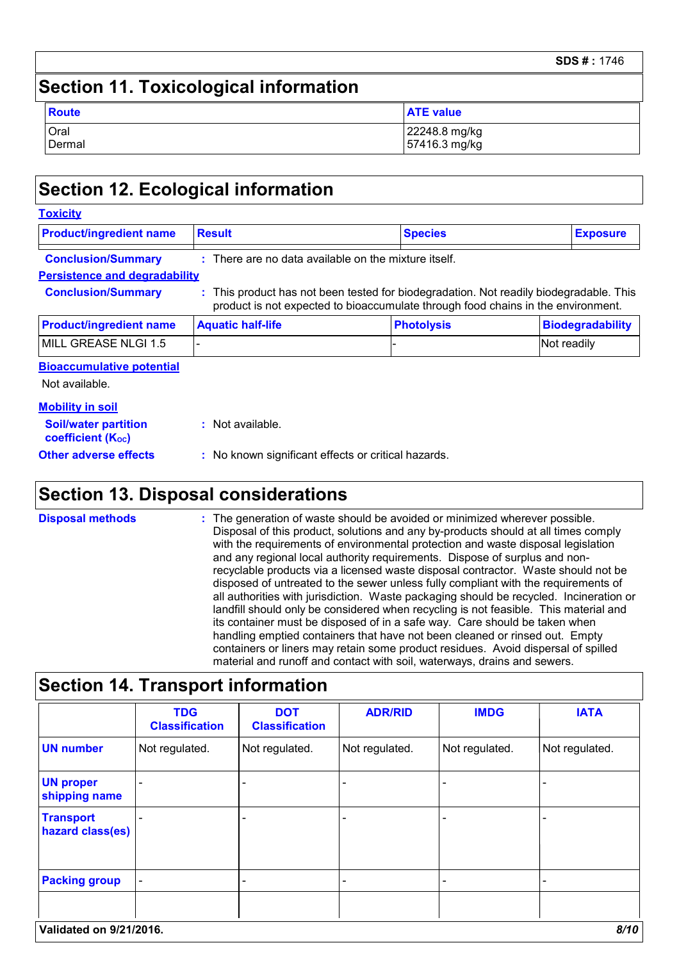#### **SDS # :** 1746

### **Section 11. Toxicological information**

| Route  | <b>ATE value</b> |
|--------|------------------|
| Oral   | 22248.8 mg/kg    |
| Dermal | 57416.3 mg/kg    |

### **Section 12. Ecological information**

| <b>Product/ingredient name</b>       | <b>Result</b>                                                                                                                                                              | <b>Species</b>    | <b>Exposure</b>         |
|--------------------------------------|----------------------------------------------------------------------------------------------------------------------------------------------------------------------------|-------------------|-------------------------|
|                                      |                                                                                                                                                                            |                   |                         |
| <b>Conclusion/Summary</b>            | $:$ There are no data available on the mixture itself.                                                                                                                     |                   |                         |
| <b>Persistence and degradability</b> |                                                                                                                                                                            |                   |                         |
| <b>Conclusion/Summary</b>            | : This product has not been tested for biodegradation. Not readily biodegradable. This<br>product is not expected to bioaccumulate through food chains in the environment. |                   |                         |
| <b>Product/ingredient name</b>       | <b>Aquatic half-life</b>                                                                                                                                                   | <b>Photolysis</b> | <b>Biodegradability</b> |
| MILL GREASE NLGI 1.5                 |                                                                                                                                                                            |                   | Not readily             |
| <b>Bioaccumulative potential</b>     |                                                                                                                                                                            |                   |                         |
| Not available.                       |                                                                                                                                                                            |                   |                         |
| <b>Mobility in soil</b>              |                                                                                                                                                                            |                   |                         |
| <b>Cailbustor nortition</b>          | . Not available                                                                                                                                                            |                   |                         |

| <b>Soil/water partition</b><br>coefficient (K <sub>oc</sub> ) | : Not available.                                    |  |
|---------------------------------------------------------------|-----------------------------------------------------|--|
| <b>Other adverse effects</b>                                  | : No known significant effects or critical hazards. |  |

### **Section 13. Disposal considerations**

The generation of waste should be avoided or minimized wherever possible. Disposal of this product, solutions and any by-products should at all times comply with the requirements of environmental protection and waste disposal legislation and any regional local authority requirements. Dispose of surplus and nonrecyclable products via a licensed waste disposal contractor. Waste should not be disposed of untreated to the sewer unless fully compliant with the requirements of all authorities with jurisdiction. Waste packaging should be recycled. Incineration or landfill should only be considered when recycling is not feasible. This material and its container must be disposed of in a safe way. Care should be taken when handling emptied containers that have not been cleaned or rinsed out. Empty containers or liners may retain some product residues. Avoid dispersal of spilled material and runoff and contact with soil, waterways, drains and sewers. **Disposal methods :**

|                                      | <b>TDG</b><br><b>Classification</b> | <b>DOT</b><br><b>Classification</b> | <b>ADR/RID</b> | <b>IMDG</b>    | <b>IATA</b>    |
|--------------------------------------|-------------------------------------|-------------------------------------|----------------|----------------|----------------|
| <b>UN number</b>                     | Not regulated.                      | Not regulated.                      | Not regulated. | Not regulated. | Not regulated. |
| <b>UN proper</b><br>shipping name    |                                     | $\overline{\phantom{0}}$            |                |                |                |
| <b>Transport</b><br>hazard class(es) |                                     |                                     |                |                |                |
| <b>Packing group</b>                 | $\qquad \qquad \blacksquare$        |                                     |                |                |                |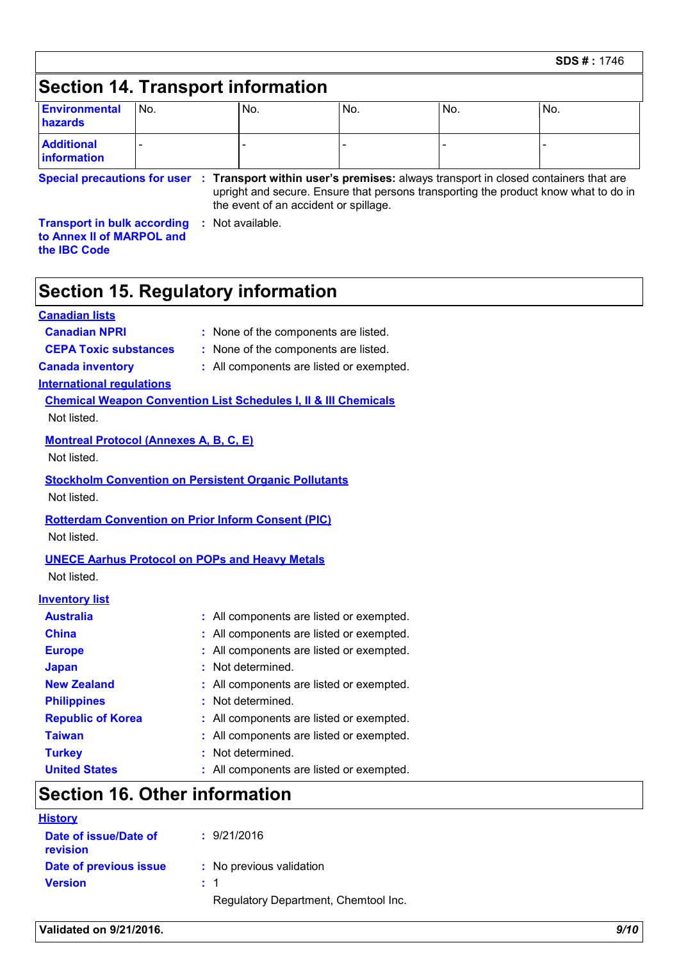## **Section 14. Transport information**

| <b>Environmental</b><br>hazards                  | No.                                                 | No. | No.                                   | No. | No.                                                                                                                                                                                                    |
|--------------------------------------------------|-----------------------------------------------------|-----|---------------------------------------|-----|--------------------------------------------------------------------------------------------------------------------------------------------------------------------------------------------------------|
| <b>Additional</b><br>information                 |                                                     |     |                                       |     |                                                                                                                                                                                                        |
|                                                  |                                                     |     | the event of an accident or spillage. |     | Special precautions for user : Transport within user's premises: always transport in closed containers that are<br>upright and secure. Ensure that persons transporting the product know what to do in |
| to Annex II of MARPOL and<br>the <b>IBC</b> Code | <b>Transport in bulk according : Not available.</b> |     |                                       |     |                                                                                                                                                                                                        |

### **Section 15. Regulatory information**

### **Canadian lists**

**Canadian NPRI :** None of the components are listed.

**CEPA Toxic substances :** None of the components are listed.

**Canada inventory :** All components are listed or exempted.

**International regulations**

**Chemical Weapon Convention List Schedules I, II & III Chemicals** Not listed.

### **Montreal Protocol (Annexes A, B, C, E)**

Not listed.

**Stockholm Convention on Persistent Organic Pollutants** Not listed.

### **Rotterdam Convention on Prior Inform Consent (PIC)** Not listed.

### **UNECE Aarhus Protocol on POPs and Heavy Metals** Not listed.

### **Inventory list**

| <b>Australia</b>         | : All components are listed or exempted. |
|--------------------------|------------------------------------------|
| <b>China</b>             | : All components are listed or exempted. |
| <b>Europe</b>            | : All components are listed or exempted. |
| <b>Japan</b>             | : Not determined.                        |
| <b>New Zealand</b>       | : All components are listed or exempted. |
| <b>Philippines</b>       | : Not determined.                        |
| <b>Republic of Korea</b> | : All components are listed or exempted. |
| <b>Taiwan</b>            | : All components are listed or exempted. |
| <b>Turkey</b>            | : Not determined.                        |
| <b>United States</b>     | : All components are listed or exempted. |

### **Section 16. Other information**

| <b>History</b>                    |                                      |
|-----------------------------------|--------------------------------------|
| Date of issue/Date of<br>revision | : 9/21/2016                          |
| Date of previous issue            | : No previous validation             |
| <b>Version</b>                    | : 1                                  |
|                                   | Regulatory Department, Chemtool Inc. |